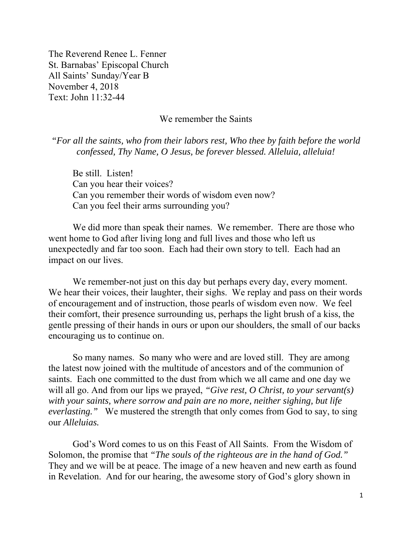The Reverend Renee L. Fenner St. Barnabas' Episcopal Church All Saints' Sunday/Year B November 4, 2018 Text: John 11:32-44

## We remember the Saints

*"For all the saints, who from their labors rest, Who thee by faith before the world confessed, Thy Name, O Jesus, be forever blessed. Alleluia, alleluia!* 

Be still. Listen! Can you hear their voices? Can you remember their words of wisdom even now? Can you feel their arms surrounding you?

We did more than speak their names. We remember. There are those who went home to God after living long and full lives and those who left us unexpectedly and far too soon. Each had their own story to tell. Each had an impact on our lives.

We remember-not just on this day but perhaps every day, every moment. We hear their voices, their laughter, their sighs. We replay and pass on their words of encouragement and of instruction, those pearls of wisdom even now. We feel their comfort, their presence surrounding us, perhaps the light brush of a kiss, the gentle pressing of their hands in ours or upon our shoulders, the small of our backs encouraging us to continue on.

So many names. So many who were and are loved still. They are among the latest now joined with the multitude of ancestors and of the communion of saints. Each one committed to the dust from which we all came and one day we will all go. And from our lips we prayed, *"Give rest, O Christ, to your servant(s) with your saints, where sorrow and pain are no more, neither sighing, but life everlasting."* We mustered the strength that only comes from God to say, to sing our *Alleluias.* 

God's Word comes to us on this Feast of All Saints. From the Wisdom of Solomon, the promise that *"The souls of the righteous are in the hand of God."*  They and we will be at peace. The image of a new heaven and new earth as found in Revelation. And for our hearing, the awesome story of God's glory shown in